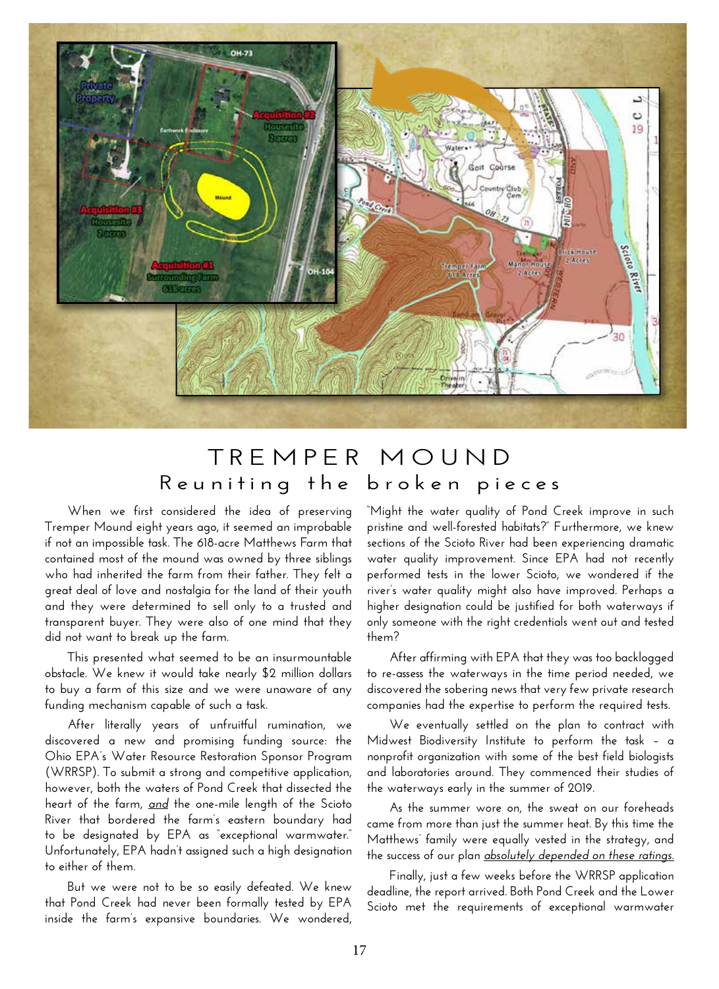

## **TREMPER MOUND Reuniting the broken pieces**

**When we first considered the idea of preserving Tremper Mound eight years ago, it seemed an improbable if not an impossible task. The 618-acre Matthews Farm that contained most of the mound was owned by three siblings who had inherited the farm from their father. They felt a great deal of love and nostalgia for the land of their youth and they were determined to sell only to a trusted and transparent buyer. They were also of one mind that they did not want to break up the farm.** 

**This presented what seemed to be an insurmountable obstacle. We knew it would take nearly \$2 million dollars to buy a farm of this size and we were unaware of any funding mechanism capable of such a task.** 

**After literally years of unfruitful rumination, we discovered a new and promising funding source: the Ohio EPA's Water Resource Restoration Sponsor Program (WRRSP). To submit a strong and competitive application, however, both the waters of Pond Creek that dissected the heart of the farm,** *and* **the one-mile length of the Scioto River that bordered the farm's eastern boundary had to be designated by EPA as "exceptional warmwater." Unfortunately, EPA hadn't assigned such a high designation to either of them.**

**But we were not to be so easily defeated. We knew that Pond Creek had never been formally tested by EPA inside the farm's expansive boundaries. We wondered,**  **"Might the water quality of Pond Creek improve in such pristine and well-forested habitats?" Furthermore, we knew sections of the Scioto River had been experiencing dramatic water quality improvement. Since EPA had not recently performed tests in the lower Scioto, we wondered if the river's water quality might also have improved. Perhaps a higher designation could be justified for both waterways if only someone with the right credentials went out and tested them?** 

**After affirming with EPA that they was too backlogged to re-assess the waterways in the time period needed, we discovered the sobering news that very few private research companies had the expertise to perform the required tests.**

**We eventually settled on the plan to contract with Midwest Biodiversity Institute to perform the task – a nonprofit organization with some of the best field biologists and laboratories around. They commenced their studies of the waterways early in the summer of 2019.**

**As the summer wore on, the sweat on our foreheads came from more than just the summer heat. By this time the Matthews' family were equally vested in the strategy, and the success of our plan** *absolutely depended on these ratings.*

**Finally, just a few weeks before the WRRSP application deadline, the report arrived. Both Pond Creek and the Lower Scioto met the requirements of exceptional warmwater**